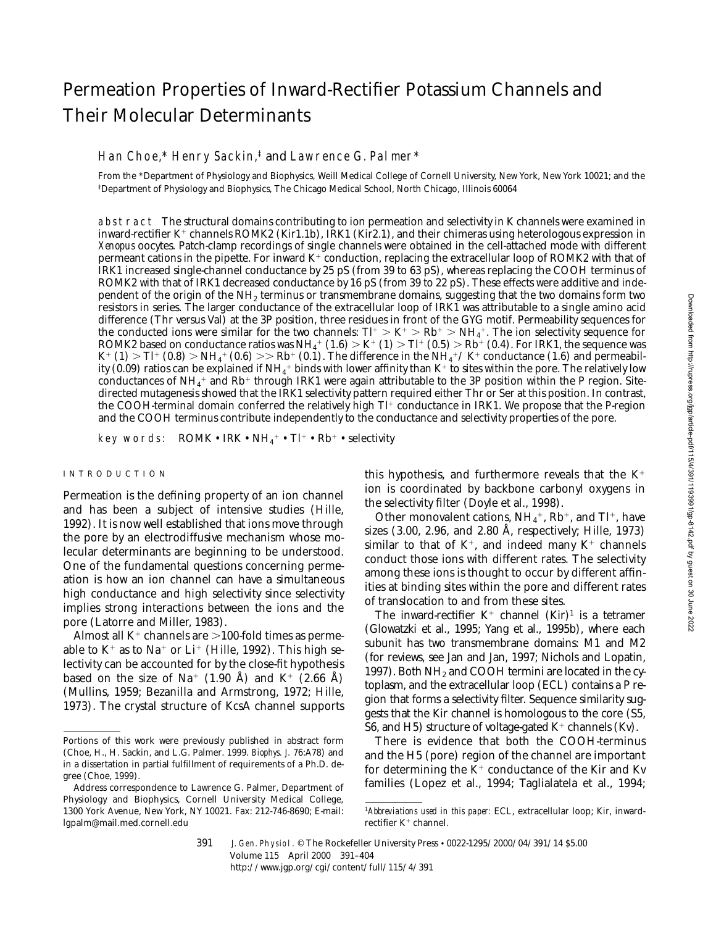# Permeation Properties of Inward-Rectifier Potassium Channels and Their Molecular Determinants

#### Han Choe,\* Henry Sackin,<sup>‡</sup> and Lawrence G. Palmer\*

From the \*Department of Physiology and Biophysics, Weill Medical College of Cornell University, New York, New York 10021; and the ‡Department of Physiology and Biophysics, The Chicago Medical School, North Chicago, Illinois 60064

abstract The structural domains contributing to ion permeation and selectivity in K channels were examined in inward-rectifier K<sup>+</sup> channels ROMK2 (Kir1.1b), IRK1 (Kir2.1), and their chimeras using heterologous expression in *Xenopus* oocytes. Patch-clamp recordings of single channels were obtained in the cell-attached mode with different permeant cations in the pipette. For inward  $K^+$  conduction, replacing the extracellular loop of ROMK2 with that of IRK1 increased single-channel conductance by 25 pS (from 39 to 63 pS), whereas replacing the COOH terminus of ROMK2 with that of IRK1 decreased conductance by 16 pS (from 39 to 22 pS). These effects were additive and independent of the origin of the NH2 terminus or transmembrane domains, suggesting that the two domains form two resistors in series. The larger conductance of the extracellular loop of IRK1 was attributable to a single amino acid difference (Thr versus Val) at the 3P position, three residues in front of the GYG motif. Permeability sequences for the conducted ions were similar for the two channels:  $Tl^+ > K^+ > Rb^+ > NH_4^+$ . The ion selectivity sequence for ROMK2 based on conductance ratios was  $NH_4^+$  (1.6)  $>K^+$  (1)  $\supset$  Tl<sup>+</sup> (0.5)  $>$  Rb<sup>+</sup> (0.4). For IRK1, the sequence was  $K^+$  (1)  $>$  Tl<sup>+</sup> (0.8)  $>$  NH<sub>4</sub><sup>+</sup> (0.6)  $>>$  Rb<sup>+</sup> (0.1). The difference in the NH<sub>4</sub><sup>+</sup>/K<sup>+</sup> conductance (1.6) and permeability (0.09) ratios can be explained if NH $_4^+$  binds with lower affinity than K $^+$  to sites within the pore. The relatively low conductances of NH<sub>4</sub><sup>+</sup> and Rb<sup>+</sup> through IRK1 were again attributable to the 3P position within the P region. Sitedirected mutagenesis showed that the IRK1 selectivity pattern required either Thr or Ser at this position. In contrast, the COOH-terminal domain conferred the relatively high  $Tl^+$  conductance in IRK1. We propose that the P-region and the COOH terminus contribute independently to the conductance and selectivity properties of the pore.

key words:  $\hbox{\rm\thinspace ROMK}\bullet \hbox{\rm\thinspace IR} \bullet \hbox{\rm\thinspace NH}_4{}^+ \bullet \hbox{\rm\thinspace Tl}^+ \bullet \hbox{\rm\thinspace Rb}^+ \bullet \hbox{\rm\thinspace selectivity}$ 

#### INTRODUCTION

Permeation is the defining property of an ion channel and has been a subject of intensive studies (Hille, 1992). It is now well established that ions move through the pore by an electrodiffusive mechanism whose molecular determinants are beginning to be understood. One of the fundamental questions concerning permeation is how an ion channel can have a simultaneous high conductance and high selectivity since selectivity implies strong interactions between the ions and the pore (Latorre and Miller, 1983).

Almost all  $K^+$  channels are  $>$ 100-fold times as permeable to  $K^+$  as to Na<sup>+</sup> or Li<sup>+</sup> (Hille, 1992). This high selectivity can be accounted for by the close-fit hypothesis based on the size of Na<sup>+</sup> (1.90 Å) and K<sup>+</sup> (2.66 Å) (Mullins, 1959; Bezanilla and Armstrong, 1972; Hille, 1973). The crystal structure of KcsA channel supports

this hypothesis, and furthermore reveals that the  $K^+$ ion is coordinated by backbone carbonyl oxygens in the selectivity filter (Doyle et al., 1998).

Other monovalent cations,  $NH_4^+$ ,  $Rb^+$ , and Tl<sup>+</sup>, have sizes (3.00, 2.96, and 2.80 Å, respectively; Hille, 1973) similar to that of  $K^+$ , and indeed many  $K^+$  channels conduct those ions with different rates. The selectivity among these ions is thought to occur by different affinities at binding sites within the pore and different rates of translocation to and from these sites.

The inward-rectifier  $K^+$  channel  $(Kir)^1$  is a tetramer (Glowatzki et al., 1995; Yang et al., 1995b), where each subunit has two transmembrane domains: M1 and M2 (for reviews, see Jan and Jan, 1997; Nichols and Lopatin, 1997). Both  $NH<sub>2</sub>$  and COOH termini are located in the cytoplasm, and the extracellular loop (ECL) contains a P region that forms a selectivity filter. Sequence similarity suggests that the Kir channel is homologous to the core (S5, S6, and H5) structure of voltage-gated  $K^+$  channels (Kv).

There is evidence that both the COOH-terminus and the H5 (pore) region of the channel are important for determining the  $K^+$  conductance of the Kir and Kv families (Lopez et al., 1994; Taglialatela et al., 1994;

Portions of this work were previously published in abstract form (Choe, H., H. Sackin, and L.G. Palmer. 1999. *Biophys. J.* 76:A78) and in a dissertation in partial fulfillment of requirements of a Ph.D. degree (Choe, 1999).

Address correspondence to Lawrence G. Palmer, Department of Physiology and Biophysics, Cornell University Medical College, 1300 York Avenue, New York, NY 10021. Fax: 212-746-8690; E-mail: lgpalm@mail.med.cornell.edu

<sup>1</sup>*Abbreviations used in this paper:* ECL, extracellular loop; Kir, inwardrectifier  $K^+$  channel.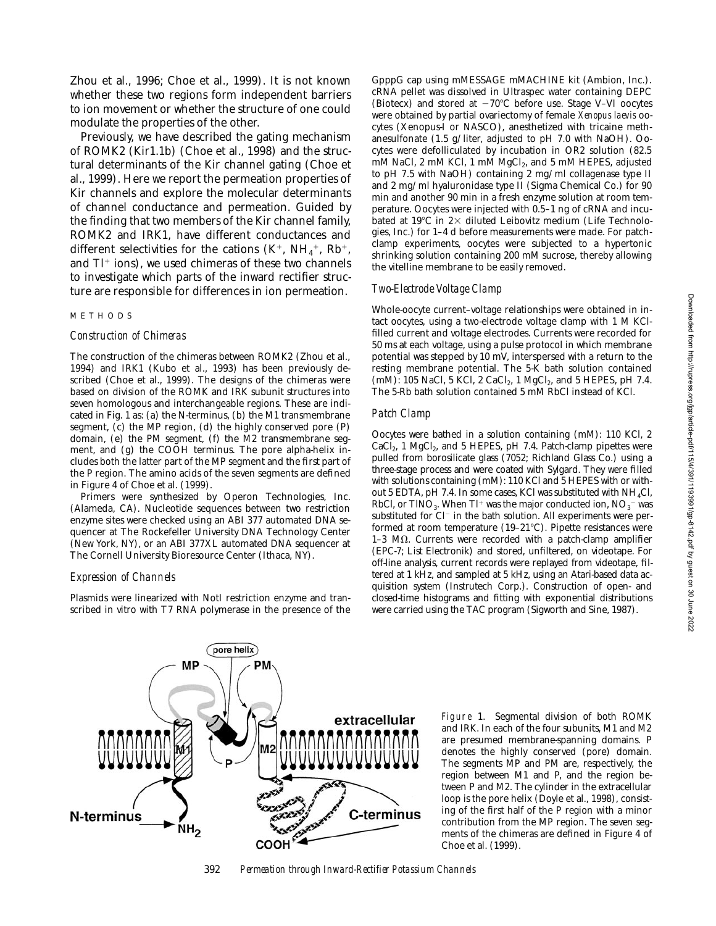Zhou et al., 1996; Choe et al., 1999). It is not known whether these two regions form independent barriers to ion movement or whether the structure of one could modulate the properties of the other.

Previously, we have described the gating mechanism of ROMK2 (Kir1.1b) (Choe et al., 1998) and the structural determinants of the Kir channel gating (Choe et al., 1999). Here we report the permeation properties of Kir channels and explore the molecular determinants of channel conductance and permeation. Guided by the finding that two members of the Kir channel family, ROMK2 and IRK1, have different conductances and different selectivities for the cations  $(K^+, NH_4^+, Rh^+,$ and  $TI^{+}$  ions), we used chimeras of these two channels to investigate which parts of the inward rectifier structure are responsible for differences in ion permeation.

#### METHODS

#### *Construction of Chimeras*

The construction of the chimeras between ROMK2 (Zhou et al., 1994) and IRK1 (Kubo et al., 1993) has been previously described (Choe et al., 1999). The designs of the chimeras were based on division of the ROMK and IRK subunit structures into seven homologous and interchangeable regions. These are indicated in Fig. 1 as: (a) the N-terminus, (b) the M1 transmembrane segment, (c) the MP region, (d) the highly conserved pore (P) domain, (e) the PM segment, (f) the M2 transmembrane segment, and (g) the COOH terminus. The pore alpha-helix includes both the latter part of the MP segment and the first part of the P region. The amino acids of the seven segments are defined in Figure 4 of Choe et al. (1999).

Primers were synthesized by Operon Technologies, Inc. (Alameda, CA). Nucleotide sequences between two restriction enzyme sites were checked using an ABI 377 automated DNA sequencer at The Rockefeller University DNA Technology Center (New York, NY), or an ABI 377XL automated DNA sequencer at The Cornell University Bioresource Center (Ithaca, NY).

## *Expression of Channels*

Plasmids were linearized with NotI restriction enzyme and transcribed in vitro with T7 RNA polymerase in the presence of the

GpppG cap using mMESSAGE mMACHINE kit (Ambion, Inc.). cRNA pellet was dissolved in Ultraspec water containing DEPC (Biotecx) and stored at  $-70^{\circ}$ C before use. Stage V–VI oocytes were obtained by partial ovariectomy of female *Xenopus laevis* oocytes (Xenopus-I or NASCO), anesthetized with tricaine methanesulfonate (1.5 g/liter, adjusted to pH 7.0 with NaOH). Oocytes were defolliculated by incubation in OR2 solution (82.5 mM NaCl, 2 mM KCl, 1 mM MgCl<sub>2</sub>, and 5 mM HEPES, adjusted to pH 7.5 with NaOH) containing 2 mg/ml collagenase type II and 2 mg/ml hyaluronidase type II (Sigma Chemical Co.) for 90 min and another 90 min in a fresh enzyme solution at room temperature. Oocytes were injected with 0.5–1 ng of cRNA and incubated at 19 $\degree$ C in 2 $\times$  diluted Leibovitz medium (Life Technologies, Inc.) for 1–4 d before measurements were made. For patchclamp experiments, oocytes were subjected to a hypertonic shrinking solution containing 200 mM sucrose, thereby allowing the vitelline membrane to be easily removed.

## *Two-Electrode Voltage Clamp*

Whole-oocyte current–voltage relationships were obtained in intact oocytes, using a two-electrode voltage clamp with 1 M KClfilled current and voltage electrodes. Currents were recorded for 50 ms at each voltage, using a pulse protocol in which membrane potential was stepped by 10 mV, interspersed with a return to the resting membrane potential. The  $5-\bar{K}$  bath solution contained (mM): 105 NaCl, 5  $\overline{K}$ Cl, 2 CaCl<sub>2</sub>, 1 MgCl<sub>2</sub>, and 5 HEPES, pH 7.4. The 5-Rb bath solution contained 5 mM RbCl instead of KCl.

#### *Patch Clamp*

Oocytes were bathed in a solution containing (mM): 110 KCl, 2  $CaCl<sub>2</sub>$ , 1 MgCl<sub>2</sub>, and 5 HEPES, pH 7.4. Patch-clamp pipettes were pulled from borosilicate glass (7052; Richland Glass Co.) using a three-stage process and were coated with Sylgard. They were filled with solutions containing (mM): 110 KCl and 5 HEPES with or without 5 EDTA, pH 7.4. In some cases, KCl was substituted with  $NH<sub>4</sub>Cl$ , RbCl, or TlNO $_3$ . When Tl $^+$  was the major conducted ion, NO $_3^-$  was substituted for Cl<sup>-</sup> in the bath solution. All experiments were performed at room temperature  $(19-21^{\circ}\text{C})$ . Pipette resistances were 1-3 M $\Omega$ . Currents were recorded with a patch-clamp amplifier (EPC-7; List Electronik) and stored, unfiltered, on videotape. For off-line analysis, current records were replayed from videotape, filtered at 1 kHz, and sampled at 5 kHz, using an Atari-based data acquisition system (Instrutech Corp.). Construction of open- and closed-time histograms and fitting with exponential distributions were carried using the TAC program (Sigworth and Sine, 1987).



Figure 1. Segmental division of both ROMK and IRK. In each of the four subunits, M1 and M2 are presumed membrane-spanning domains. P denotes the highly conserved (pore) domain. The segments MP and PM are, respectively, the region between M1 and P, and the region between P and M2. The cylinder in the extracellular loop is the pore helix (Doyle et al., 1998), consisting of the first half of the P region with a minor contribution from the MP region. The seven segments of the chimeras are defined in Figure 4 of Choe et al. (1999).

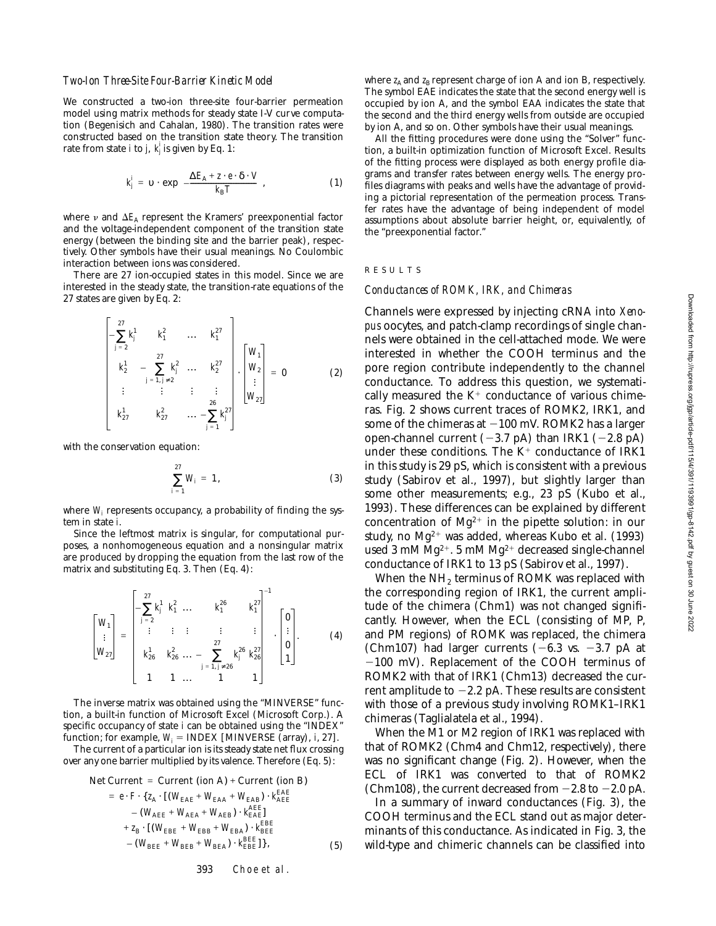We constructed a two-ion three-site four-barrier permeation model using matrix methods for steady state I-V curve computation (Begenisich and Cahalan, 1980). The transition rates were constructed based on the transition state theory. The transition rate from state *i* to *j*,  $k_j$ <sup>*i*</sup> is given by Eq. 1:

$$
k_j' = \upsilon \cdot \exp\left(-\frac{\Delta E_A + z \cdot e \cdot \delta \cdot V}{k_B T}\right),\tag{1}
$$

where  $\nu$  and  $\Delta E_A$  represent the Kramers' preexponential factor and the voltage-independent component of the transition state energy (between the binding site and the barrier peak), respectively. Other symbols have their usual meanings. No Coulombic interaction between ions was considered.

There are 27 ion-occupied states in this model. Since we are interested in the steady state, the transition-rate equations of the 27 states are given by Eq. 2:

$$
\begin{bmatrix}27\\-\sum_{j=2}^{27}k_j^1 & k_1^2 & \dots & k_1^{27}\\k_2^1 & -\sum_{j=1, j\neq 2}^{27}k_j^2 & \dots & k_2^{27}\\ \vdots & \vdots & \vdots & \vdots\\k_{27}^1 & k_{27}^2 & \dots & -\sum_{j=1}^{26}k_j^{27}\end{bmatrix}\cdot\begin{bmatrix}W_1\\W_2\\ \vdots\\W_{27}\end{bmatrix} = 0
$$
 (2)

with the conservation equation:

$$
\sum_{i=1}^{27} W_i = 1, \tag{3}
$$

where  $W_i$  represents occupancy, a probability of finding the sys-  $\,$ tem in state *i*.

Since the leftmost matrix is singular, for computational purposes, a nonhomogeneous equation and a nonsingular matrix are produced by dropping the equation from the last row of the matrix and substituting Eq. 3. Then (Eq. 4):

$$
\begin{bmatrix} W_1 \\ W_{27} \end{bmatrix} = \begin{bmatrix} 27 & k_1^1 & k_1^2 & \dots & k_1^{26} & k_1^{27} \\ \vdots & \vdots & \vdots & \vdots & \vdots \\ k_{26}^1 & k_{26}^2 & \dots & \sum_{j=1, j\neq 26}^{27} k_j^{26} & k_{26}^{27} \\ 1 & 1 & \dots & 1 & 1 \end{bmatrix}^{-1} \cdot \begin{bmatrix} 0 \\ \vdots \\ 0 \\ 1 \end{bmatrix}.
$$
 (4)

The inverse matrix was obtained using the "MINVERSE" function, a built-in function of Microsoft Excel (Microsoft Corp.). A specific occupancy of state *i* can be obtained using the "INDEX" function; for example,  $W_i$  = INDEX [MINVERSE (array), *i*, 27].

The current of a particular ion is its steady state net flux crossing over any one barrier multiplied by its valence. Therefore (Eq. 5):

Net Current = Current (ion A) + Current (ion B)  
\n= 
$$
e \cdot F \cdot \{z_A \cdot [(W_{EAE} + W_{EAA} + W_{EAB}) \cdot k_{AEE}^{EAE} + (W_{EAE} + W_{AEE}) \cdot k_{EAE}^{EAE}] + z_B \cdot [(W_{EBE} + W_{EBB} + W_{EBA}) \cdot k_{BEE}^{BEE} + (W_{BEE} + W_{BEE}) \cdot k_{BEE}^{BEE}] \}
$$
, (5)

where  $z_A$  and  $z_B$  represent charge of ion A and ion B, respectively. The symbol EAE indicates the state that the second energy well is occupied by ion A, and the symbol EAA indicates the state that the second and the third energy wells from outside are occupied by ion A, and so on. Other symbols have their usual meanings.

All the fitting procedures were done using the "Solver" function, a built-in optimization function of Microsoft Excel. Results of the fitting process were displayed as both energy profile diagrams and transfer rates between energy wells. The energy profiles diagrams with peaks and wells have the advantage of providing a pictorial representation of the permeation process. Transfer rates have the advantage of being independent of model assumptions about absolute barrier height, or, equivalently, of the "preexponential factor."

#### RESULTS

#### *Conductances of ROMK, IRK, and Chimeras*

Channels were expressed by injecting cRNA into *Xenopus* oocytes, and patch-clamp recordings of single channels were obtained in the cell-attached mode. We were interested in whether the COOH terminus and the pore region contribute independently to the channel conductance. To address this question, we systematically measured the  $K^+$  conductance of various chimeras. Fig. 2 shows current traces of ROMK2, IRK1, and some of the chimeras at  $-100$  mV. ROMK2 has a larger open-channel current  $(-3.7 \text{ pA})$  than IRK1  $(-2.8 \text{ pA})$ under these conditions. The  $K^+$  conductance of IRK1 in this study is 29 pS, which is consistent with a previous study (Sabirov et al., 1997), but slightly larger than some other measurements; e.g., 23 pS (Kubo et al., 1993). These differences can be explained by different concentration of  $Mg^{2+}$  in the pipette solution: in our study, no  $Mg^{2+}$  was added, whereas Kubo et al. (1993) used 3 mM  $Mg^{2+}$ . 5 mM  $Mg^{2+}$  decreased single-channel conductance of IRK1 to 13 pS (Sabirov et al., 1997).

When the  $NH<sub>2</sub>$  terminus of ROMK was replaced with the corresponding region of IRK1, the current amplitude of the chimera (Chm1) was not changed significantly. However, when the ECL (consisting of MP, P, and PM regions) of ROMK was replaced, the chimera (Chm107) had larger currents  $(-6.3 \text{ vs. } -3.7 \text{ pA at }$  $-100$  mV). Replacement of the COOH terminus of ROMK2 with that of IRK1 (Chm13) decreased the current amplitude to  $-2.2$  pA. These results are consistent with those of a previous study involving ROMK1–IRK1 chimeras (Taglialatela et al., 1994).

When the M1 or M2 region of IRK1 was replaced with that of ROMK2 (Chm4 and Chm12, respectively), there was no significant change (Fig. 2). However, when the ECL of IRK1 was converted to that of ROMK2 (Chm108), the current decreased from  $-2.8$  to  $-2.0$  pA.

In a summary of inward conductances (Fig. 3), the COOH terminus and the ECL stand out as major determinants of this conductance. As indicated in Fig. 3, the wild-type and chimeric channels can be classified into

393 Choe et al.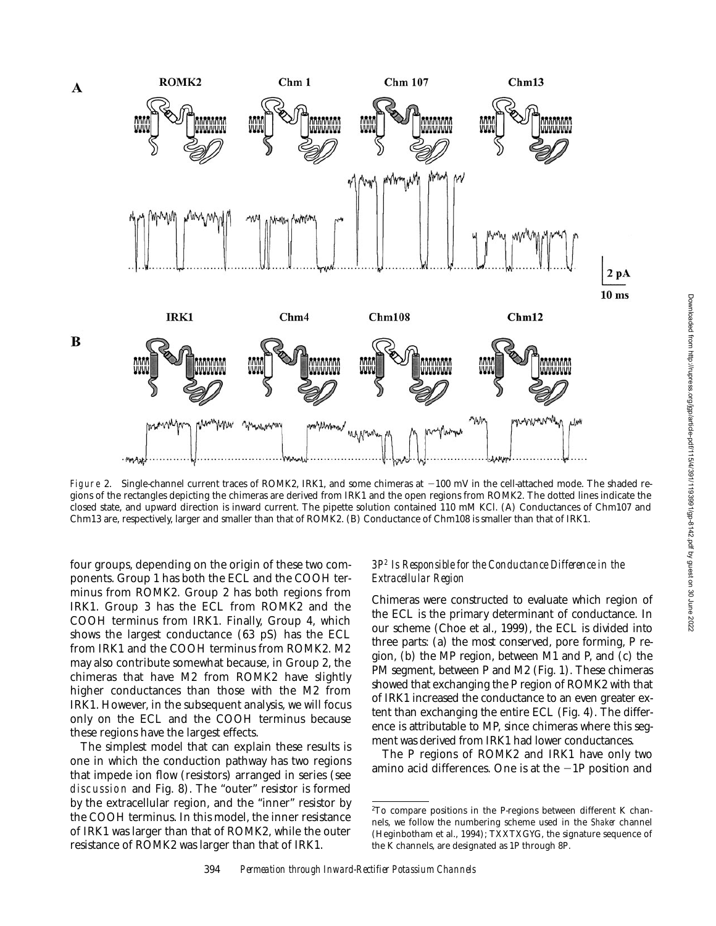

Figure 2. Single-channel current traces of ROMK2, IRK1, and some chimeras at  $-100$  mV in the cell-attached mode. The shaded regions of the rectangles depicting the chimeras are derived from IRK1 and the open regions from ROMK2. The dotted lines indicate the closed state, and upward direction is inward current. The pipette solution contained 110 mM KCl. (A) Conductances of Chm107 and Chm13 are, respectively, larger and smaller than that of ROMK2. (B) Conductance of Chm108 is smaller than that of IRK1.

four groups, depending on the origin of these two components. Group 1 has both the ECL and the COOH terminus from ROMK2. Group 2 has both regions from IRK1. Group 3 has the ECL from ROMK2 and the COOH terminus from IRK1. Finally, Group 4, which shows the largest conductance (63 pS) has the ECL from IRK1 and the COOH terminus from ROMK2. M2 may also contribute somewhat because, in Group 2, the chimeras that have M2 from ROMK2 have slightly higher conductances than those with the M2 from IRK1. However, in the subsequent analysis, we will focus only on the ECL and the COOH terminus because these regions have the largest effects.

The simplest model that can explain these results is one in which the conduction pathway has two regions that impede ion flow (resistors) arranged in series (see discussion and Fig. 8). The "outer" resistor is formed by the extracellular region, and the "inner" resistor by the COOH terminus. In this model, the inner resistance of IRK1 was larger than that of ROMK2, while the outer resistance of ROMK2 was larger than that of IRK1.

# *3P2 Is Responsible for the Conductance Difference in the Extracellular Region*

Chimeras were constructed to evaluate which region of the ECL is the primary determinant of conductance. In our scheme (Choe et al., 1999), the ECL is divided into three parts: (a) the most conserved, pore forming, P region, (b) the MP region, between M1 and P, and (c) the PM segment, between P and M2 (Fig. 1). These chimeras showed that exchanging the P region of ROMK2 with that of IRK1 increased the conductance to an even greater extent than exchanging the entire ECL (Fig. 4). The difference is attributable to MP, since chimeras where this segment was derived from IRK1 had lower conductances.

The P regions of ROMK2 and IRK1 have only two amino acid differences. One is at the  $-1P$  position and

<sup>2</sup>To compare positions in the P-regions between different K channels, we follow the numbering scheme used in the *Shaker* channel (Heginbotham et al., 1994); TXXTXGYG, the signature sequence of the K channels, are designated as 1P through 8P.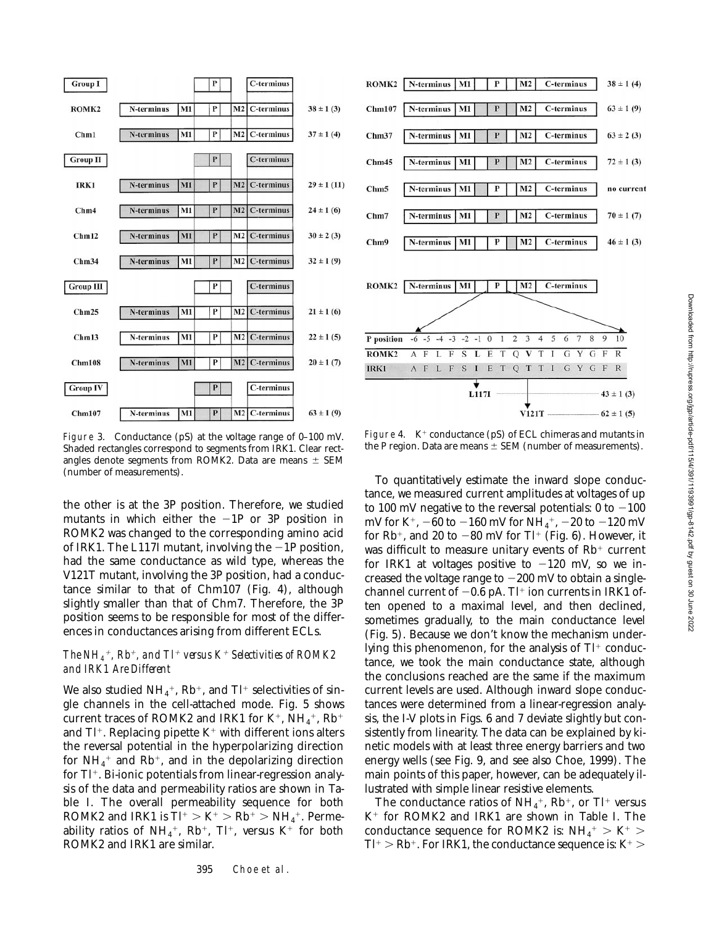

Figure 3. Conductance (pS) at the voltage range of 0–100 mV. Shaded rectangles correspond to segments from IRK1. Clear rectangles denote segments from ROMK2. Data are means  $\pm$  SEM (number of measurements).

the other is at the 3P position. Therefore, we studied mutants in which either the  $-1P$  or 3P position in ROMK2 was changed to the corresponding amino acid of IRK1. The L117I mutant, involving the  $-1P$  position, had the same conductance as wild type, whereas the V121T mutant, involving the 3P position, had a conductance similar to that of Chm107 (Fig. 4), although slightly smaller than that of Chm7. Therefore, the 3P position seems to be responsible for most of the differences in conductances arising from different ECLs.

#### *The NH<sub>4</sub><sup>+</sup>, Rb<sup>+</sup>, and Tl<sup>+</sup> versus*  $K^+$  *Selectivities of ROMK2 and IRK1 Are Different*

We also studied  $NH_4^+$ , Rb<sup>+</sup>, and Tl<sup>+</sup> selectivities of single channels in the cell-attached mode. Fig. 5 shows current traces of ROMK2 and IRK1 for  $K^+$ , NH<sub>4</sub><sup>+</sup>, Rb<sup>+</sup> and  $TI^+$ . Replacing pipette  $K^+$  with different ions alters the reversal potential in the hyperpolarizing direction for  $\mathrm{NH}_4{}^+$  and  $\mathrm{Rb}{}^+$ , and in the depolarizing direction for  $Tl^+$ . Bi-ionic potentials from linear-regression analysis of the data and permeability ratios are shown in Table I. The overall permeability sequence for both ROMK2 and IRK1 is  $TI^{+} > K^{+} > Rb^{+} > NH_{4}^{+}$ . Permeability ratios of  $NH_4^+$ , Rb<sup>+</sup>, Tl<sup>+</sup>, versus K<sup>+</sup> for both ROMK2 and IRK1 are similar.



Figure 4.  $K^+$  conductance (pS) of ECL chimeras and mutants in the P region. Data are means  $\pm$  SEM (number of measurements).

To quantitatively estimate the inward slope conductance, we measured current amplitudes at voltages of up to 100 mV negative to the reversal potentials:  $0$  to  $-100$ mV for K<sup>+</sup>,  $-60$  to  $-160$  mV for NH<sub>4</sub><sup>+</sup>,  $-20$  to  $-120$  mV for Rb<sup>+</sup>, and 20 to  $-80$  mV for Tl<sup>+</sup> (Fig. 6). However, it was difficult to measure unitary events of  $Rb<sup>+</sup>$  current for IRK1 at voltages positive to  $-120$  mV, so we increased the voltage range to  $-200$  mV to obtain a singlechannel current of  $-0.6$  pA. Tl<sup>+</sup> ion currents in IRK1 often opened to a maximal level, and then declined, sometimes gradually, to the main conductance level (Fig. 5). Because we don't know the mechanism underlying this phenomenon, for the analysis of  $Tl^+$  conductance, we took the main conductance state, although the conclusions reached are the same if the maximum current levels are used. Although inward slope conductances were determined from a linear-regression analysis, the I-V plots in Figs. 6 and 7 deviate slightly but consistently from linearity. The data can be explained by kinetic models with at least three energy barriers and two energy wells (see Fig. 9, and see also Choe, 1999). The main points of this paper, however, can be adequately illustrated with simple linear resistive elements.

The conductance ratios of  $NH_4^+$ , Rb<sup>+</sup>, or Tl<sup>+</sup> versus  $K^+$  for ROMK2 and IRK1 are shown in Table I. The conductance sequence for ROMK2 is:  $NH_4^+ > K^+ >$  $T l^+ > R b^+$ . For IRK1, the conductance sequence is: K<sup>+</sup>  $>$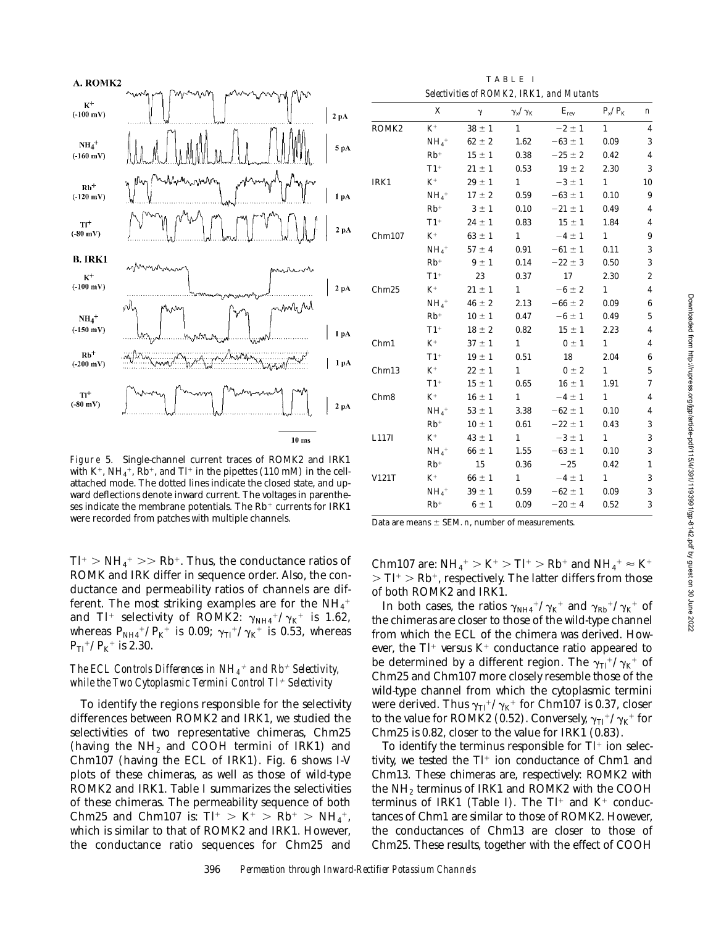

Figure 5. Single-channel current traces of ROMK2 and IRK1 with K<sup>+</sup>, NH<sub>4</sub><sup>+</sup>, Rb<sup>+</sup>, and Tl<sup>+</sup> in the pipettes (110 mM) in the cellattached mode. The dotted lines indicate the closed state, and upward deflections denote inward current. The voltages in parentheses indicate the membrane potentials. The  $Rb$ <sup>+</sup> currents for IRK1 were recorded from patches with multiple channels.

 $T l^{+}$   $>$  NH<sub>4</sub><sup>+</sup>  $>$   $>$  Rb<sup>+</sup>. Thus, the conductance ratios of ROMK and IRK differ in sequence order. Also, the conductance and permeability ratios of channels are different. The most striking examples are for the  $\mathrm{NH}_4{}^+$ and Tl<sup>+</sup> selectivity of ROMK2:  $\gamma_{NH4}^+/\gamma_{K}^+$  is 1.62, whereas  $\rm P_{NH4}{}^+/P_K{}^+$  is 0.09;  $\rm \gamma_{Tl}{}^+/\gamma_K{}^+$  is 0.53, whereas  $P_{Tl}$ <sup>+</sup>/ $P_{K}$ <sup>+</sup> is 2.30.

# *The ECL Controls Differences in NH<sub>4</sub><sup>+</sup> and Rb<sup>+</sup> Selectivity, while the Two Cytoplasmic Termini Control Tl<sup>+</sup> Selectivity*

To identify the regions responsible for the selectivity differences between ROMK2 and IRK1, we studied the selectivities of two representative chimeras, Chm25 (having the  $NH<sub>2</sub>$  and COOH termini of IRK1) and Chm107 (having the ECL of IRK1). Fig. 6 shows I-V plots of these chimeras, as well as those of wild-type ROMK2 and IRK1. Table I summarizes the selectivities of these chimeras. The permeability sequence of both Chm25 and Chm107 is:  $TI^{+} > K^{+} > Rb^{+} > NH_{4}^{+}$ , which is similar to that of ROMK2 and IRK1. However, the conductance ratio sequences for Chm25 and

TABLE I *Selectivities of ROMK2, IRK1, and Mutants*

|                   | X                   | $\gamma$   | $\gamma_{\rm x}/\gamma_{\rm K}$ | $E_{rev}$   | $P_x/P_K$    | $\boldsymbol{n}$        |
|-------------------|---------------------|------------|---------------------------------|-------------|--------------|-------------------------|
| ROMK <sub>2</sub> | $K^+$               | $38 \pm 1$ | 1                               | $-2 \pm 1$  | $\mathbf{1}$ | $\overline{4}$          |
|                   | $NH_4$ <sup>+</sup> | $62 \pm 2$ | 1.62                            | $-63 \pm 1$ | 0.09         | 3                       |
|                   | $Rb^+$              | $15 \pm 1$ | 0.38                            | $-25 \pm 2$ | 0.42         | $\overline{4}$          |
|                   | $T1$ <sup>+</sup>   | $21 \pm 1$ | 0.53                            | $19 \pm 2$  | 2.30         | 3                       |
| IRK1              | $K^+$               | $29 \pm 1$ | $1 \quad$                       | $-3 \pm 1$  | 1            | 10                      |
|                   | $NH_4$ <sup>+</sup> | $17 \pm 2$ | 0.59                            | $-63 \pm 1$ | 0.10         | $\boldsymbol{9}$        |
|                   | $Rb^+$              | $3 \pm 1$  | 0.10                            | $-21 \pm 1$ | 0.49         | $\overline{4}$          |
|                   | $T1$ <sup>+</sup>   | $24 \pm 1$ | 0.83                            | $15 \pm 1$  | 1.84         | $\overline{\mathbf{4}}$ |
| Chm107            | $K^+$               | $63 \pm 1$ | $1 \quad$                       | $-4 \pm 1$  | 1            | 9                       |
|                   | $NH_4$ <sup>+</sup> | $57 \pm 4$ | 0.91                            | $-61 \pm 1$ | 0.11         | 3                       |
|                   | $\rm Rb^+$          | $9 \pm 1$  | 0.14                            | $-22 \pm 3$ | 0.50         | 3                       |
|                   | $T1$ <sup>+</sup>   | 23         | 0.37                            | 17          | 2.30         | $\overline{\mathbf{c}}$ |
| Chm25             | $K^+$               | $21 \pm 1$ | $1 \quad \blacksquare$          | $-6 \pm 2$  | 1            | $\overline{4}$          |
|                   | $NH_4$ <sup>+</sup> | $46 \pm 2$ | 2.13                            | $-66 \pm 2$ | 0.09         | $\boldsymbol{6}$        |
|                   | $Rb^+$              | $10 \pm 1$ | 0.47                            | $-6 \pm 1$  | 0.49         | $\overline{5}$          |
|                   | $T1$ <sup>+</sup>   | $18 \pm 2$ | 0.82                            | $15 \pm 1$  | 2.23         | $\overline{\mathbf{4}}$ |
| Chm1              | $K^+$               | $37 \pm 1$ | $1 \quad$                       | $0 \pm 1$   | $1 \quad$    | $\overline{4}$          |
|                   | $T1^+$              | $19 \pm 1$ | 0.51                            | 18          | 2.04         | $\boldsymbol{6}$        |
| Chm13             | $K^+$               | $22 \pm 1$ | $\mathbf{1}$                    | $0 \pm 2$   | $\mathbf{1}$ | $\overline{5}$          |
|                   | $T1$ <sup>+</sup>   | $15 \pm 1$ | 0.65                            | $16 \pm 1$  | 1.91         | $\overline{7}$          |
| Chm <sub>8</sub>  | $K^+$               | $16 \pm 1$ | 1                               | $-4 \pm 1$  | 1            | $\overline{4}$          |
|                   | $NH_4$ <sup>+</sup> | $53 \pm 1$ | 3.38                            | $-62 \pm 1$ | 0.10         | $\overline{4}$          |
|                   | $Rb^+$              | $10 \pm 1$ | 0.61                            | $-22 \pm 1$ | 0.43         | 3                       |
| L117I             | $K^+$               | $43 \pm 1$ | $1 \quad \blacksquare$          | $-3 \pm 1$  | $\mathbf{1}$ | 3                       |
|                   | $NH_4$ <sup>+</sup> | $66 \pm 1$ | 1.55                            | $-63 \pm 1$ | 0.10         | 3                       |
|                   | $Rb^+$              | 15         | 0.36                            | $-25$       | 0.42         | $\mathbf{1}$            |
| V121T             | $K^+$               | $66 \pm 1$ | $\mathbf{1}$                    | $-4 \pm 1$  | 1            | 3                       |
|                   | $NH_4$ <sup>+</sup> | $39 \pm 1$ | 0.59                            | $-62 \pm 1$ | 0.09         | 3                       |
|                   | $Rb^+$              | $6 \pm 1$  | 0.09                            | $-20 \pm 4$ | 0.52         | 3                       |

Data are means  $\pm$  SEM. *n*, number of measurements.

Chm107 are:  $NH_4^+ > K^+ > Tl^+ > Rb^+$  and  $NH_4^+ \approx K^+$  $>$  Tl<sup>+</sup>  $>$  Rb<sup>+</sup>, respectively. The latter differs from those of both ROMK2 and IRK1.

In both cases, the ratios  $\gamma_{\text{NH4}}{}^+/\gamma_{\text{K}}{}^+$  and  $\gamma_{\text{Rb}}{}^+/\gamma_{\text{K}}{}^+$  of the chimeras are closer to those of the wild-type channel from which the ECL of the chimera was derived. However, the  $TI^+$  versus  $K^+$  conductance ratio appeared to be determined by a different region. The  $\gamma_{\mathrm{TI}}{}^+/\gamma_{\mathrm{K}}{}^+$  of Chm25 and Chm107 more closely resemble those of the wild-type channel from which the cytoplasmic termini were derived. Thus  $\gamma_{\rm Ti}{}^+/\gamma_{\rm K}{}^+$  for Chm107 is 0.37, closer to the value for ROMK2 (0.52). Conversely,  $\gamma_{\mathrm{TI}}{}^+/\gamma_{\mathrm{K}}{}^+$  for Chm25 is 0.82, closer to the value for IRK1 (0.83).

To identify the terminus responsible for  $Tl^+$  ion selectivity, we tested the  $TI^+$  ion conductance of Chm1 and Chm13. These chimeras are, respectively: ROMK2 with the  $NH<sub>2</sub>$  terminus of IRK1 and ROMK2 with the COOH terminus of IRK1 (Table I). The  $Tl^+$  and  $K^+$  conductances of Chm1 are similar to those of ROMK2. However, the conductances of Chm13 are closer to those of Chm25. These results, together with the effect of COOH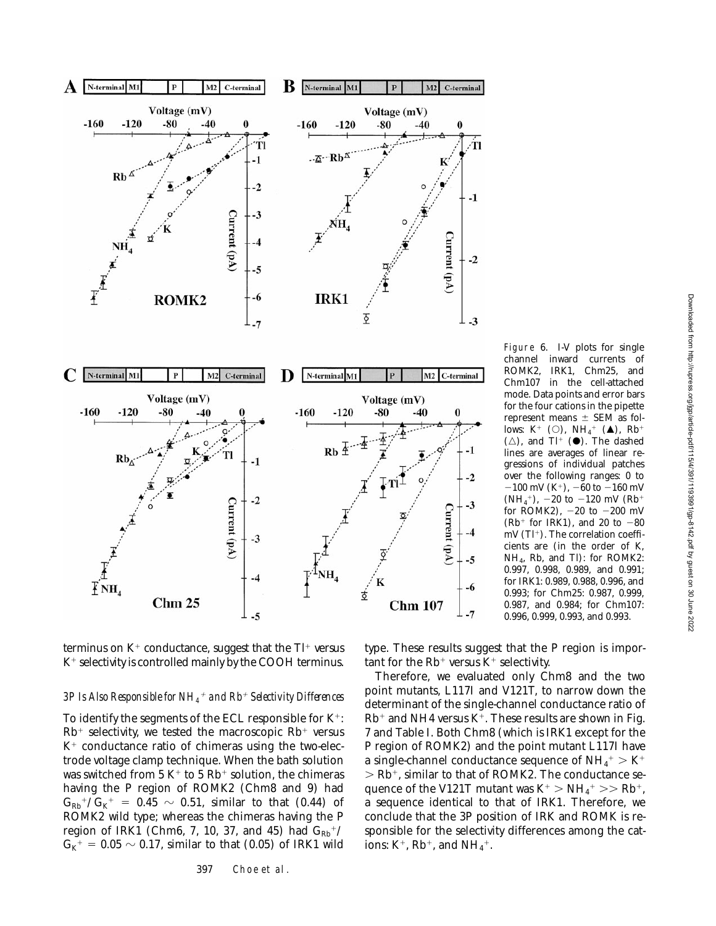

Figure 6. I-V plots for single channel inward currents of ROMK2, IRK1, Chm25, and Chm107 in the cell-attached mode. Data points and error bars for the four cations in the pipette represent means  $\pm$  SEM as follows:  $K^+$  (O),  $NH_4^+$  ( $\blacktriangle$ ),  $Rb^+$  $(\triangle)$ , and Tl<sup>+</sup> ( $\bullet$ ). The dashed lines are averages of linear regressions of individual patches over the following ranges: 0 to  $-100$  mV (K<sup>+</sup>),  $-60$  to  $-160$  mV (NH<sub>4</sub><sup>+</sup>), -20 to -120 mV (Rb<sup>+</sup> for ROMK2),  $-20$  to  $-200$  mV  $(Rb<sup>+</sup>$  for IRK1), and 20 to  $-80$ mV (Tl<sup>+</sup>). The correlation coefficients are (in the order of K, NH4, Rb, and Tl): for ROMK2: 0.997, 0.998, 0.989, and 0.991; for IRK1: 0.989, 0.988, 0.996, and 0.993; for Chm25: 0.987, 0.999, 0.987, and 0.984; for Chm107: 0.996, 0.999, 0.993, and 0.993.

terminus on  $K^+$  conductance, suggest that the  $TI^+$  versus  $K^+$  selectivity is controlled mainly by the COOH terminus.

# *3P Is Also Responsible for NH4* <sup>1</sup> *and Rb*1 *Selectivity Differences*

To identify the segments of the ECL responsible for  $K^+$ :  $Rb$ <sup>+</sup> selectivity, we tested the macroscopic  $Rb$ <sup>+</sup> versus  $K^+$  conductance ratio of chimeras using the two-electrode voltage clamp technique. When the bath solution was switched from 5 K<sup>+</sup> to 5 Rb<sup>+</sup> solution, the chimeras having the P region of ROMK2 (Chm8 and 9) had  $G_{\rm Rb}$ <sup>+</sup>/ $G_{\rm K}$ <sup>+</sup> = 0.45  $\sim$  0.51, similar to that (0.44) of ROMK2 wild type; whereas the chimeras having the P region of IRK1 (Chm6, 7, 10, 37, and 45) had  $G_{Rb}$ <sup>+</sup>/  $G_{K}^+ = 0.05 \sim 0.17$ , similar to that (0.05) of IRK1 wild type. These results suggest that the P region is important for the  $Rb^+$  versus  $K^+$  selectivity.

Therefore, we evaluated only Chm8 and the two point mutants, L117I and V121T, to narrow down the determinant of the single-channel conductance ratio of  $Rb^+$  and NH4 versus K<sup>+</sup>. These results are shown in Fig. 7 and Table I. Both Chm8 (which is IRK1 except for the P region of ROMK2) and the point mutant L117I have a single-channel conductance sequence of  $\mathrm{NH}_4^+>\mathrm{K}^+$  $>$  Rb<sup>+</sup>, similar to that of ROMK2. The conductance sequence of the V121T mutant was  $K^+$   $>$   $NH_4^+$   $>>$   $Rb^+$ , a sequence identical to that of IRK1. Therefore, we conclude that the 3P position of IRK and ROMK is responsible for the selectivity differences among the cations:  $K^+$ , Rb<sup>+</sup>, and NH<sub>4</sub><sup>+</sup>.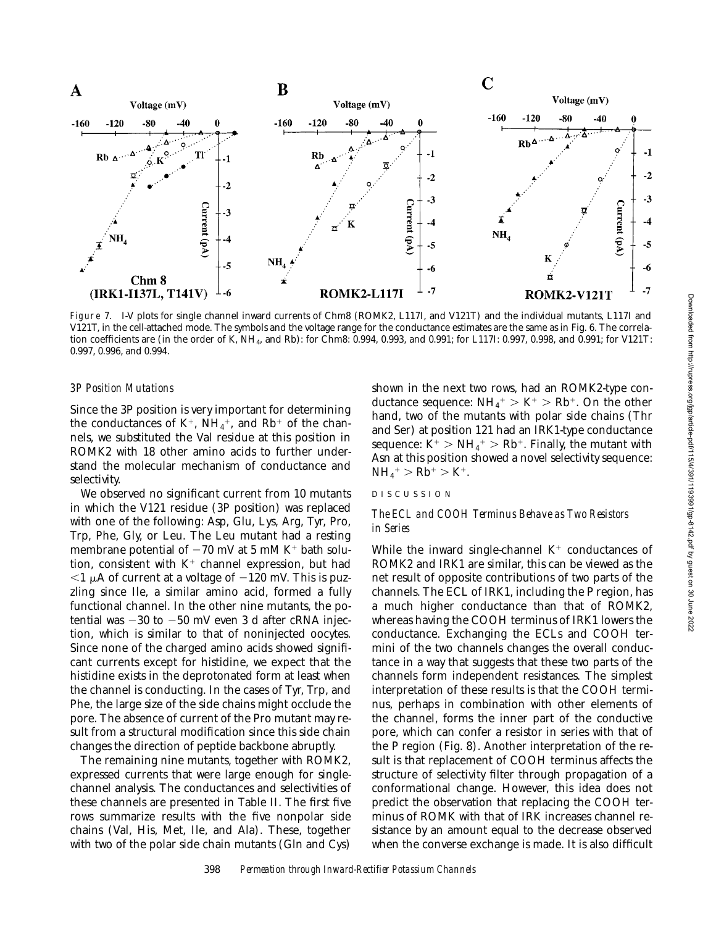

Figure 7. I-V plots for single channel inward currents of Chm8 (ROMK2, L117I, and V121T) and the individual mutants, L117I and V121T, in the cell-attached mode. The symbols and the voltage range for the conductance estimates are the same as in Fig. 6. The correlation coefficients are (in the order of K, NH<sub>4</sub>, and Rb): for Chm8: 0.994, 0.993, and 0.991; for L117I: 0.997, 0.998, and 0.991; for V121T: 0.997, 0.996, and 0.994.

# *3P Position Mutations*

Since the 3P position is very important for determining the conductances of  $K^+$ ,  $NH_4^+$ , and  $Rb^+$  of the channels, we substituted the Val residue at this position in ROMK2 with 18 other amino acids to further understand the molecular mechanism of conductance and selectivity.

We observed no significant current from 10 mutants in which the V121 residue (3P position) was replaced with one of the following: Asp, Glu, Lys, Arg, Tyr, Pro, Trp, Phe, Gly, or Leu. The Leu mutant had a resting membrane potential of  $-70$  mV at 5 mM K<sup>+</sup> bath solution, consistent with  $K^+$  channel expression, but had  $<$ 1 µA of current at a voltage of  $-120$  mV. This is puzzling since Ile, a similar amino acid, formed a fully functional channel. In the other nine mutants, the potential was  $-30$  to  $-50$  mV even 3 d after cRNA injection, which is similar to that of noninjected oocytes. Since none of the charged amino acids showed significant currents except for histidine, we expect that the histidine exists in the deprotonated form at least when the channel is conducting. In the cases of Tyr, Trp, and Phe, the large size of the side chains might occlude the pore. The absence of current of the Pro mutant may result from a structural modification since this side chain changes the direction of peptide backbone abruptly.

The remaining nine mutants, together with ROMK2, expressed currents that were large enough for singlechannel analysis. The conductances and selectivities of these channels are presented in Table II. The first five rows summarize results with the five nonpolar side chains (Val, His, Met, Ile, and Ala). These, together with two of the polar side chain mutants (Gln and Cys)

shown in the next two rows, had an ROMK2-type conductance sequence:  $NH_4^+ > K^+ > Rb^+$ . On the other hand, two of the mutants with polar side chains (Thr and Ser) at position 121 had an IRK1-type conductance sequence:  $\rm K^+ > NH_4^+ > Rb^+.$  Finally, the mutant with Asn at this position showed a novel selectivity sequence:  $NH_4^+ > Rb^+ > K^+$ .

# DISCUSSION

# *The ECL and COOH Terminus Behave as Two Resistors in Series*

While the inward single-channel  $K^+$  conductances of ROMK2 and IRK1 are similar, this can be viewed as the net result of opposite contributions of two parts of the channels. The ECL of IRK1, including the P region, has a much higher conductance than that of ROMK2, whereas having the COOH terminus of IRK1 lowers the conductance. Exchanging the ECLs and COOH termini of the two channels changes the overall conductance in a way that suggests that these two parts of the channels form independent resistances. The simplest interpretation of these results is that the COOH terminus, perhaps in combination with other elements of the channel, forms the inner part of the conductive pore, which can confer a resistor in series with that of the P region (Fig. 8). Another interpretation of the result is that replacement of COOH terminus affects the structure of selectivity filter through propagation of a conformational change. However, this idea does not predict the observation that replacing the COOH terminus of ROMK with that of IRK increases channel resistance by an amount equal to the decrease observed when the converse exchange is made. It is also difficult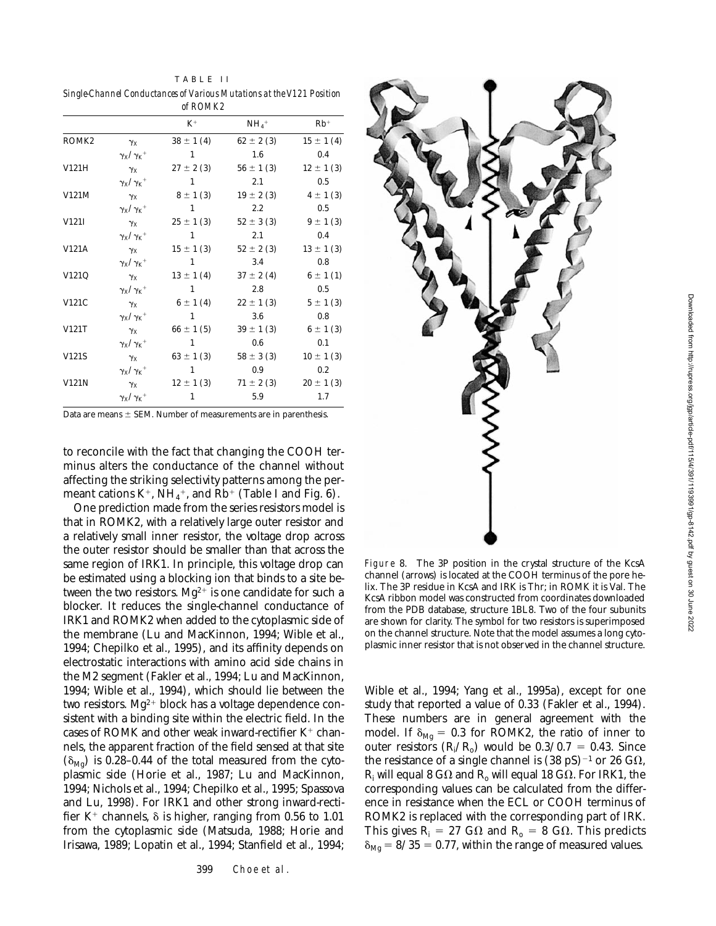|                   |                         | of ROMK2       |                     |               |
|-------------------|-------------------------|----------------|---------------------|---------------|
|                   |                         | $K^+$          | $NH_4$ <sup>+</sup> | $Rh^+$        |
| ROMK <sub>2</sub> | $\gamma_X$              | $38 \pm 1(4)$  | $62 \pm 2(3)$       | $15 \pm 1(4)$ |
|                   | $\gamma_X/\gamma_K$ +   | 1              | 1.6                 | 0.4           |
| V121H             | $\gamma_{\rm X}$        | $27 \pm 2(3)$  | $56 \pm 1(3)$       | $12 \pm 1(3)$ |
|                   | $\gamma_X/\gamma_K$ +   | $\overline{1}$ | 2.1                 | 0.5           |
| V121M             | $\gamma_{\rm X}$        | $8 \pm 1(3)$   | $19 \pm 2(3)$       | $4 \pm 1(3)$  |
|                   | $\gamma_X/\gamma_K$ +   | $\mathbf{1}$   | $2.2^{\circ}$       | 0.5           |
| V121I             | $\gamma_{\rm X}$        | $25 \pm 1(3)$  | $52 \pm 3(3)$       | $9 \pm 1$ (3) |
|                   | $\gamma_X/\gamma_K$ +   | 1              | 2.1                 | 0.4           |
| V121A             | $\gamma_{\rm X}$        | $15 \pm 1(3)$  | $52 \pm 2(3)$       | $13 \pm 1(3)$ |
|                   | $\gamma_X/\gamma_K$ +   | $\overline{1}$ | 3.4                 | 0.8           |
| V121Q             | $\gamma_{\rm X}$        | $13 \pm 1(4)$  | $37 \pm 2(4)$       | $6 \pm 1(1)$  |
|                   | $\gamma_X/\gamma_K$ +   | $\mathbf{1}$   | 2.8                 | $0.5\,$       |
| V121C             | $\gamma_{\rm X}$        | $6 \pm 1(4)$   | $22 \pm 1(3)$       | $5 \pm 1(3)$  |
|                   | $\gamma_X/\gamma_K{}^+$ | 1              | 3.6                 | 0.8           |
| V121T             | $\gamma_{\rm X}$        | $66 \pm 1(5)$  | $39 \pm 1(3)$       | $6 \pm 1$ (3) |
|                   | $\gamma_X/\gamma_K$ +   | $\blacksquare$ | $0.6\,$             | 0.1           |
| V121S             | $\gamma_{\rm X}$        | $63 \pm 1(3)$  | $58 \pm 3(3)$       | $10 \pm 1(3)$ |
|                   | $\gamma_X/\gamma_K$ +   | $\sim$ 1       | 0.9                 | 0.2           |
| V121N             | $\gamma_{\rm X}$        | $12 \pm 1(3)$  | $71 \pm 2(3)$       | $20 \pm 1(3)$ |
|                   | $\gamma_X/\gamma_K$ +   | 1              | 5.9                 | 1.7           |

Data are means  $\pm$  SEM. Number of measurements are in parenthesis.

to reconcile with the fact that changing the COOH terminus alters the conductance of the channel without affecting the striking selectivity patterns among the permeant cations  $K^+$ ,  $NH_4^+$ , and  $Rb^+$  (Table I and Fig. 6).

One prediction made from the series resistors model is that in ROMK2, with a relatively large outer resistor and a relatively small inner resistor, the voltage drop across the outer resistor should be smaller than that across the same region of IRK1. In principle, this voltage drop can be estimated using a blocking ion that binds to a site between the two resistors.  $Mg^{2+}$  is one candidate for such a blocker. It reduces the single-channel conductance of IRK1 and ROMK2 when added to the cytoplasmic side of the membrane (Lu and MacKinnon, 1994; Wible et al., 1994; Chepilko et al., 1995), and its affinity depends on electrostatic interactions with amino acid side chains in the M2 segment (Fakler et al., 1994; Lu and MacKinnon, 1994; Wible et al., 1994), which should lie between the two resistors.  $Mg^{2+}$  block has a voltage dependence consistent with a binding site within the electric field. In the cases of ROMK and other weak inward-rectifier  $K^+$  channels, the apparent fraction of the field sensed at that site  $(\delta_{\text{Mg}})$  is 0.28–0.44 of the total measured from the cytoplasmic side (Horie et al., 1987; Lu and MacKinnon, 1994; Nichols et al., 1994; Chepilko et al., 1995; Spassova and Lu, 1998). For IRK1 and other strong inward-rectifier K<sup>+</sup> channels,  $\delta$  is higher, ranging from 0.56 to 1.01 from the cytoplasmic side (Matsuda, 1988; Horie and Irisawa, 1989; Lopatin et al., 1994; Stanfield et al., 1994;



Figure 8. The 3P position in the crystal structure of the KcsA channel (arrows) is located at the COOH terminus of the pore helix. The 3P residue in KcsA and IRK is Thr; in ROMK it is Val. The KcsA ribbon model was constructed from coordinates downloaded from the PDB database, structure 1BL8. Two of the four subunits are shown for clarity. The symbol for two resistors is superimposed on the channel structure. Note that the model assumes a long cytoplasmic inner resistor that is not observed in the channel structure.

Wible et al., 1994; Yang et al., 1995a), except for one study that reported a value of 0.33 (Fakler et al., 1994). These numbers are in general agreement with the model. If  $\delta_{Mg} = 0.3$  for ROMK2, the ratio of inner to outer resistors  $(R_i/R_o)$  would be  $0.3/0.7 = 0.43$ . Since the resistance of a single channel is  $(38 \text{ pS})^{-1}$  or 26 G $\Omega$ ,  $\rm R_i$  will equal 8 G $\rm \Omega$  and  $\rm R_o$  will equal 18 G $\rm \Omega.$  For IRK1, the corresponding values can be calculated from the difference in resistance when the ECL or COOH terminus of ROMK2 is replaced with the corresponding part of IRK. This gives  $R_i = 27$  G $\Omega$  and  $R_o = 8$  G $\Omega$ . This predicts  $\delta_{\text{Mg}}$  = 8/35 = 0.77, within the range of measured values.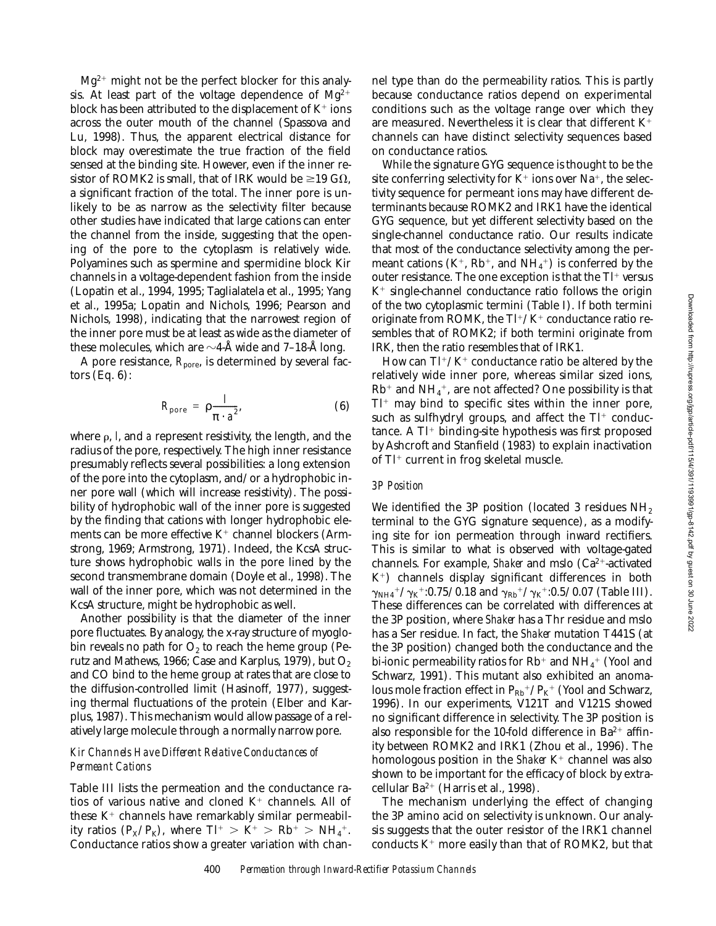$Mg^{2+}$  might not be the perfect blocker for this analysis. At least part of the voltage dependence of  $Mg^{2+}$ block has been attributed to the displacement of  $K^+$  ions across the outer mouth of the channel (Spassova and Lu, 1998). Thus, the apparent electrical distance for block may overestimate the true fraction of the field sensed at the binding site. However, even if the inner resistor of ROMK2 is small, that of IRK would be  $\geq$ 19 G $\Omega$ , a significant fraction of the total. The inner pore is unlikely to be as narrow as the selectivity filter because other studies have indicated that large cations can enter the channel from the inside, suggesting that the opening of the pore to the cytoplasm is relatively wide. Polyamines such as spermine and spermidine block Kir channels in a voltage-dependent fashion from the inside (Lopatin et al., 1994, 1995; Taglialatela et al., 1995; Yang et al., 1995a; Lopatin and Nichols, 1996; Pearson and Nichols, 1998), indicating that the narrowest region of the inner pore must be at least as wide as the diameter of these molecules, which are  $\sim$ 4-Å wide and 7–18-Å long.

A pore resistance,  $R_{\text{pore}}$ , is determined by several factors  $(Eq. 6)$ :

$$
R_{\text{pore}} = \rho \frac{I}{\pi \cdot a^2}, \tag{6}
$$

where  $\rho$ , *l*, and *a* represent resistivity, the length, and the radius of the pore, respectively. The high inner resistance presumably reflects several possibilities: a long extension of the pore into the cytoplasm, and/or a hydrophobic inner pore wall (which will increase resistivity). The possibility of hydrophobic wall of the inner pore is suggested by the finding that cations with longer hydrophobic elements can be more effective  $K^+$  channel blockers (Armstrong, 1969; Armstrong, 1971). Indeed, the KcsA structure shows hydrophobic walls in the pore lined by the second transmembrane domain (Doyle et al., 1998). The wall of the inner pore, which was not determined in the KcsA structure, might be hydrophobic as well.

Another possibility is that the diameter of the inner pore fluctuates. By analogy, the x-ray structure of myoglobin reveals no path for  $O_2$  to reach the heme group (Perutz and Mathews, 1966; Case and Karplus, 1979), but  $O_2$ and CO bind to the heme group at rates that are close to the diffusion-controlled limit (Hasinoff, 1977), suggesting thermal fluctuations of the protein (Elber and Karplus, 1987). This mechanism would allow passage of a relatively large molecule through a normally narrow pore.

# *Kir Channels Have Different Relative Conductances of Permeant Cations*

Table III lists the permeation and the conductance ratios of various native and cloned  $K^+$  channels. All of these  $K^+$  channels have remarkably similar permeability ratios  $(P_X/P_K)$ , where  $T l^+ > K^+ > R b^+ > NH_4^+.$ Conductance ratios show a greater variation with channel type than do the permeability ratios. This is partly because conductance ratios depend on experimental conditions such as the voltage range over which they are measured. Nevertheless it is clear that different  $K^+$ channels can have distinct selectivity sequences based on conductance ratios.

While the signature GYG sequence is thought to be the site conferring selectivity for  $K^+$  ions over Na<sup>+</sup>, the selectivity sequence for permeant ions may have different determinants because ROMK2 and IRK1 have the identical GYG sequence, but yet different selectivity based on the single-channel conductance ratio. Our results indicate that most of the conductance selectivity among the permeant cations  $(K^{+}, Rh^{+}, and NH_{4}^{+})$  is conferred by the outer resistance. The one exception is that the  $T<sup>+</sup>$  versus  $K^+$  single-channel conductance ratio follows the origin of the two cytoplasmic termini (Table I). If both termini originate from ROMK, the  $Tl^{+}/K^{+}$  conductance ratio resembles that of ROMK2; if both termini originate from IRK, then the ratio resembles that of IRK1.

How can  $Tl^+/K^+$  conductance ratio be altered by the relatively wide inner pore, whereas similar sized ions,  $\rm Rb^+$  and  $\rm NH_4^+$ , are not affected? One possibility is that  $T<sup>+</sup>$  may bind to specific sites within the inner pore, such as sulfhydryl groups, and affect the  $TI^+$  conductance. A  $TI^+$  binding-site hypothesis was first proposed by Ashcroft and Stanfield (1983) to explain inactivation of  $Tl^+$  current in frog skeletal muscle.

### *3P Position*

We identified the 3P position (located 3 residues  $NH<sub>2</sub>$ ) terminal to the GYG signature sequence), as a modifying site for ion permeation through inward rectifiers. This is similar to what is observed with voltage-gated channels. For example, *Shaker* and mslo (Ca<sup>2+</sup>-activated  $K^+$ ) channels display significant differences in both  $\gamma_{\rm NH4}{}^+/\gamma_{\rm K}{}^+$ :0.75/0.18 and  $\gamma_{\rm Rb}{}^+/\gamma_{\rm K}{}^+$ :0.5/0.07 (Table III). These differences can be correlated with differences at the 3P position, where *Shaker* has a Thr residue and mslo has a Ser residue. In fact, the *Shaker* mutation T441S (at the 3P position) changed both the conductance and the bi-ionic permeability ratios for Rb $^+$  and NH $_4^{\mathrm{+}}$  (Yool and Schwarz, 1991). This mutant also exhibited an anomalous mole fraction effect in  $P_{Rb}^+ / P_{K}^+$  (Yool and Schwarz, 1996). In our experiments, V121T and V121S showed no significant difference in selectivity. The 3P position is also responsible for the 10-fold difference in Ba $2+$  affinity between ROMK2 and IRK1 (Zhou et al., 1996). The homologous position in the *Shaker* K<sup>+</sup> channel was also shown to be important for the efficacy of block by extracellular Ba<sup>2+</sup> (Harris et al., 1998).

The mechanism underlying the effect of changing the 3P amino acid on selectivity is unknown. Our analysis suggests that the outer resistor of the IRK1 channel conducts  $K^+$  more easily than that of ROMK2, but that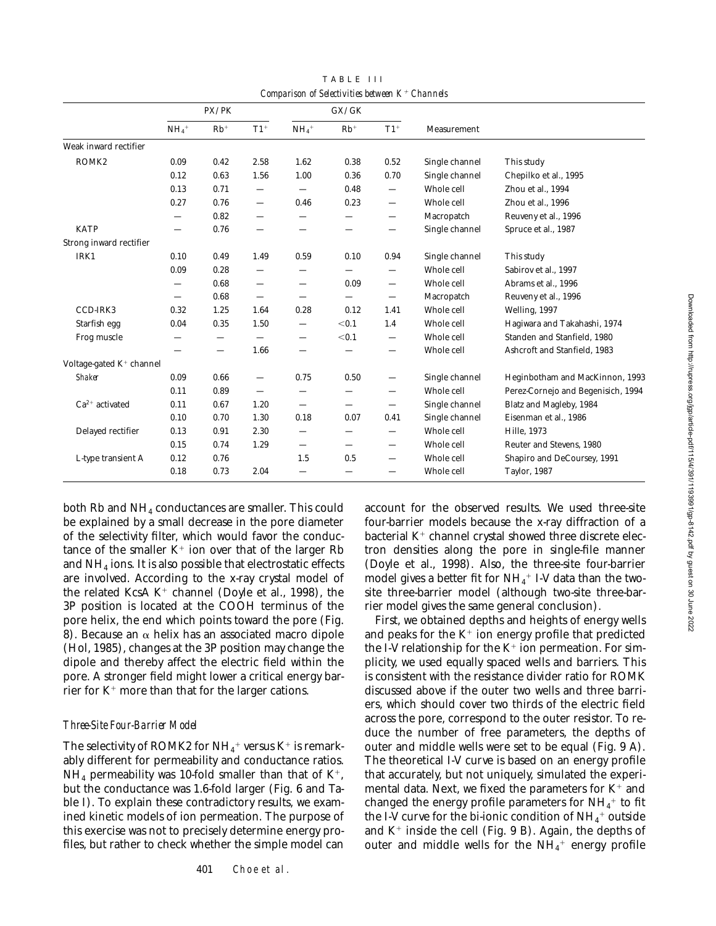|                                      | PX/PK                           |       |                          | GX/GK                           |                          |                                |                |                                    |
|--------------------------------------|---------------------------------|-------|--------------------------|---------------------------------|--------------------------|--------------------------------|----------------|------------------------------------|
|                                      | $NH_4$ <sup>+</sup>             | $Rb+$ | $T1+$                    | $NH_4$ <sup>+</sup>             | $Rb^+$                   | $T1+$                          | Measurement    |                                    |
| Weak inward rectifier                |                                 |       |                          |                                 |                          |                                |                |                                    |
| ROMK <sub>2</sub>                    | 0.09                            | 0.42  | 2.58                     | 1.62                            | 0.38                     | 0.52                           | Single channel | This study                         |
|                                      | 0.12                            | 0.63  | 1.56                     | 1.00                            | 0.36                     | 0.70                           | Single channel | Chepilko et al., 1995              |
|                                      | 0.13                            | 0.71  | $\overline{\phantom{0}}$ | $\overline{\phantom{0}}$        | 0.48                     | $\overline{\phantom{m}}$       | Whole cell     | Zhou et al., 1994                  |
|                                      | 0.27                            | 0.76  |                          | 0.46                            | 0.23                     | —                              | Whole cell     | Zhou et al., 1996                  |
|                                      |                                 | 0.82  | -                        |                                 |                          | —                              | Macropatch     | Reuveny et al., 1996               |
| <b>KATP</b>                          |                                 | 0.76  | $\overline{\phantom{0}}$ |                                 | —                        | $\qquad \qquad \longleftarrow$ | Single channel | Spruce et al., 1987                |
| Strong inward rectifier              |                                 |       |                          |                                 |                          |                                |                |                                    |
| IRK1                                 | 0.10                            | 0.49  | 1.49                     | 0.59                            | 0.10                     | 0.94                           | Single channel | This study                         |
|                                      | 0.09                            | 0.28  | $\overline{\phantom{0}}$ | —                               |                          | —                              | Whole cell     | Sabirov et al., 1997               |
|                                      |                                 | 0.68  | —                        | $\overline{\phantom{m}}$        | 0.09                     | —                              | Whole cell     | Abrams et al., 1996                |
|                                      | $\overbrace{\phantom{1232211}}$ | 0.68  |                          |                                 |                          | $\overline{\phantom{m}}$       | Macropatch     | Reuveny et al., 1996               |
| CCD-IRK3                             | 0.32                            | 1.25  | 1.64                     | 0.28                            | 0.12                     | 1.41                           | Whole cell     | Welling, 1997                      |
| Starfish egg                         | 0.04                            | 0.35  | 1.50                     | —                               | < 0.1                    | 1.4                            | Whole cell     | Hagiwara and Takahashi, 1974       |
| Frog muscle                          |                                 | -     | —                        | $\hspace{0.1mm}-\hspace{0.1mm}$ | < 0.1                    | $\qquad \qquad \longleftarrow$ | Whole cell     | Standen and Stanfield, 1980        |
|                                      |                                 | —     | 1.66                     |                                 |                          | —                              | Whole cell     | Ashcroft and Stanfield, 1983       |
| Voltage-gated K <sup>+</sup> channel |                                 |       |                          |                                 |                          |                                |                |                                    |
| <b>Shaker</b>                        | 0.09                            | 0.66  |                          | 0.75                            | 0.50                     | $\qquad \qquad$                | Single channel | Heginbotham and MacKinnon, 1993    |
|                                      | 0.11                            | 0.89  | $\overline{\phantom{0}}$ | —                               |                          | $\overline{\phantom{0}}$       | Whole cell     | Perez-Cornejo and Begenisich, 1994 |
| $Ca^{2+}$ activated                  | 0.11                            | 0.67  | 1.20                     | $\overline{\phantom{0}}$        | —                        | $\qquad \qquad$                | Single channel | Blatz and Magleby, 1984            |
|                                      | 0.10                            | 0.70  | 1.30                     | 0.18                            | 0.07                     | 0.41                           | Single channel | Eisenman et al., 1986              |
| Delayed rectifier                    | 0.13                            | 0.91  | 2.30                     | —                               | —                        | —                              | Whole cell     | Hille, 1973                        |
|                                      | 0.15                            | 0.74  | 1.29                     |                                 | $\overline{\phantom{0}}$ | —                              | Whole cell     | Reuter and Stevens, 1980           |
| L-type transient A                   | 0.12                            | 0.76  |                          | 1.5                             | 0.5                      | $\overline{\phantom{0}}$       | Whole cell     | Shapiro and DeCoursey, 1991        |
|                                      | 0.18                            | 0.73  | 2.04                     | $\overline{\phantom{0}}$        | —                        | $\overline{\phantom{0}}$       | Whole cell     | <b>Taylor, 1987</b>                |

TABLE III *Comparison of Selectivities between K*1 *Channels*

both Rb and NH4 conductances are smaller. This could be explained by a small decrease in the pore diameter of the selectivity filter, which would favor the conductance of the smaller  $K^+$  ion over that of the larger Rb and NH4 ions. It is also possible that electrostatic effects are involved. According to the x-ray crystal model of the related KcsA  $K^+$  channel (Doyle et al., 1998), the 3P position is located at the COOH terminus of the pore helix, the end which points toward the pore (Fig. 8). Because an  $\alpha$  helix has an associated macro dipole (Hol, 1985), changes at the 3P position may change the dipole and thereby affect the electric field within the pore. A stronger field might lower a critical energy barrier for  $K^+$  more than that for the larger cations.

# *Three-Site Four-Barrier Model*

The selectivity of ROMK2 for NH $_4^+$  versus K $^+$  is remarkably different for permeability and conductance ratios.  $NH_4$  permeability was 10-fold smaller than that of  $K^+$ , but the conductance was 1.6-fold larger (Fig. 6 and Table I). To explain these contradictory results, we examined kinetic models of ion permeation. The purpose of this exercise was not to precisely determine energy profiles, but rather to check whether the simple model can

account for the observed results. We used three-site four-barrier models because the x-ray diffraction of a bacterial  $K^+$  channel crystal showed three discrete electron densities along the pore in single-file manner (Doyle et al., 1998). Also, the three-site four-barrier model gives a better fit for  $\mathrm{NH}_4^+$  I-V data than the twosite three-barrier model (although two-site three-barrier model gives the same general conclusion).

First, we obtained depths and heights of energy wells and peaks for the  $K^+$  ion energy profile that predicted the I-V relationship for the  $K^+$  ion permeation. For simplicity, we used equally spaced wells and barriers. This is consistent with the resistance divider ratio for ROMK discussed above if the outer two wells and three barriers, which should cover two thirds of the electric field across the pore, correspond to the outer resistor. To reduce the number of free parameters, the depths of outer and middle wells were set to be equal (Fig. 9 A). The theoretical I-V curve is based on an energy profile that accurately, but not uniquely, simulated the experimental data. Next, we fixed the parameters for  $K^+$  and changed the energy profile parameters for  $\mathrm{NH}_4^+$  to fit the I-V curve for the bi-ionic condition of  $\mathrm{NH}_4^+$  outside and  $K^+$  inside the cell (Fig. 9 B). Again, the depths of outer and middle wells for the  $\mathrm{NH}_4^+$  energy profile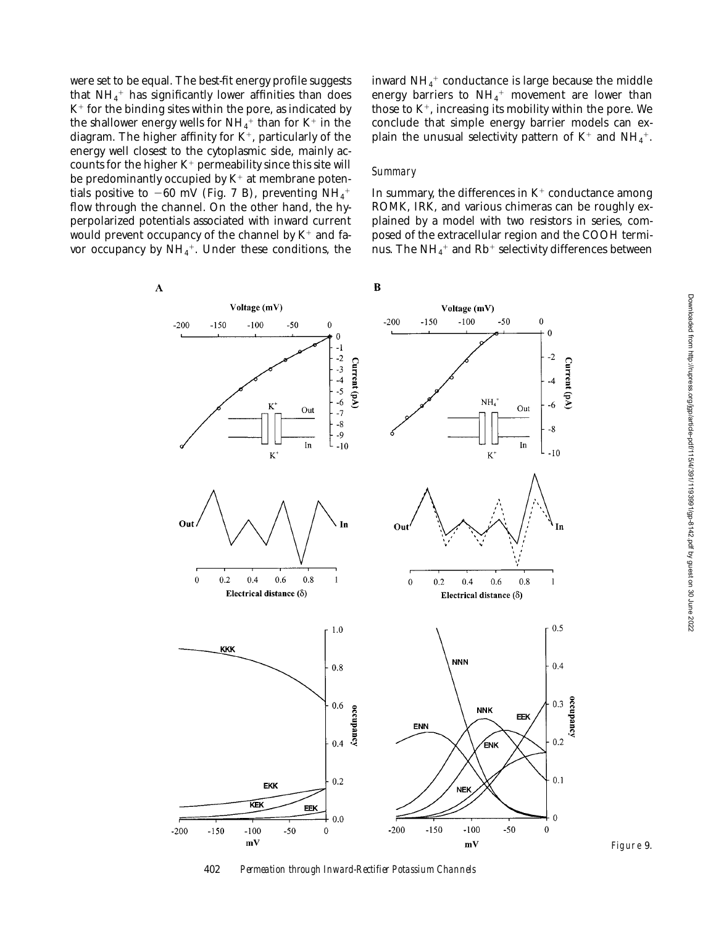were set to be equal. The best-fit energy profile suggests that  $\mathrm{NH}_4{}^+$  has significantly lower affinities than does  $K^+$  for the binding sites within the pore, as indicated by the shallower energy wells for  $\mathrm{NH}_4^+$  than for K $^+$  in the diagram. The higher affinity for  $K^+$ , particularly of the energy well closest to the cytoplasmic side, mainly accounts for the higher  $K^+$  permeability since this site will be predominantly occupied by  $K^+$  at membrane potentials positive to  $-60$  mV (Fig. 7 B), preventing NH<sub>4</sub><sup>+</sup> flow through the channel. On the other hand, the hyperpolarized potentials associated with inward current would prevent occupancy of the channel by  $K^+$  and favor occupancy by  $\mathrm{NH}_4{}^+$ . Under these conditions, the

 $\overline{\mathbf{A}}$ 

inward  $\mathrm{NH}_4{}^+$  conductance is large because the middle energy barriers to  $NH_4^+$  movement are lower than those to  $K^+$ , increasing its mobility within the pore. We conclude that simple energy barrier models can explain the unusual selectivity pattern of  $\mathrm{K}^+$  and  $\mathrm{NH}_4^+.$ 

#### *Summary*

In summary, the differences in  $K^+$  conductance among ROMK, IRK, and various chimeras can be roughly explained by a model with two resistors in series, composed of the extracellular region and the COOH terminus. The NH $_4^+$  and Rb $^+$  selectivity differences between



402 *Permeation through Inward-Rectifier Potassium Channels*

Figure 9.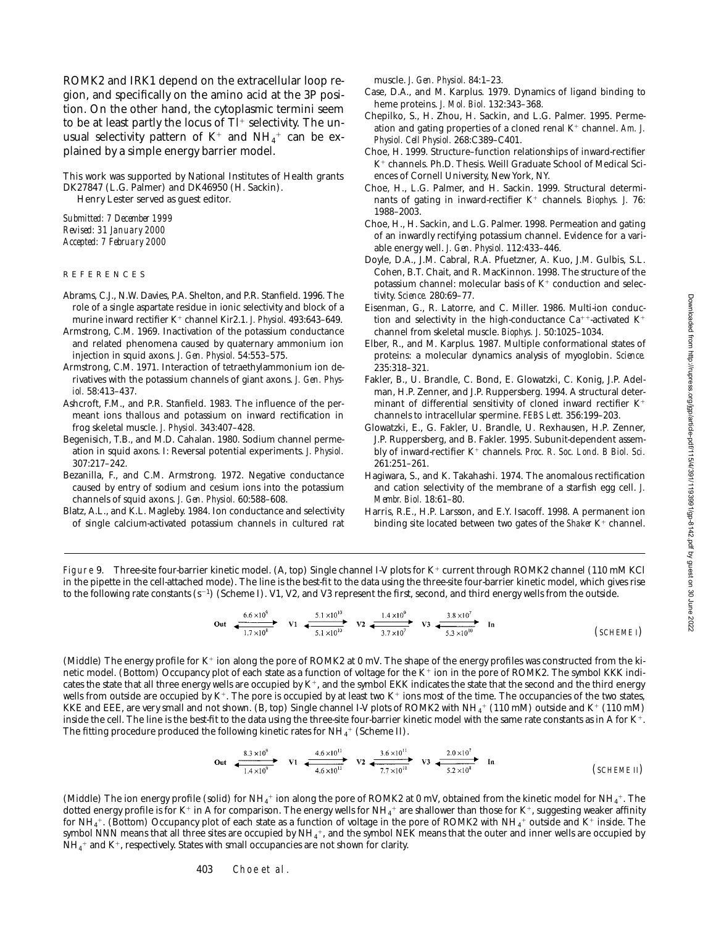ROMK2 and IRK1 depend on the extracellular loop region, and specifically on the amino acid at the 3P position. On the other hand, the cytoplasmic termini seem to be at least partly the locus of  $TI^+$  selectivity. The unusual selectivity pattern of  $\mathrm{K}^+$  and  $\mathrm{NH}_4{}^+$  can be explained by a simple energy barrier model.

This work was supported by National Institutes of Health grants DK27847 (L.G. Palmer) and DK46950 (H. Sackin). Henry Lester served as guest editor.

*Submitted: 7 December 1999 Revised: 31 January 2000*

*Accepted: 7 February 2000*

- REFERENCES
- Abrams, C.J., N.W. Davies, P.A. Shelton, and P.R. Stanfield. 1996. The role of a single aspartate residue in ionic selectivity and block of a murine inward rectifier K<sup>+</sup> channel Kir2.1. *J. Physiol.* 493:643-649.
- Armstrong, C.M. 1969. Inactivation of the potassium conductance and related phenomena caused by quaternary ammonium ion injection in squid axons. *J. Gen. Physiol.* 54:553–575.
- Armstrong, C.M. 1971. Interaction of tetraethylammonium ion derivatives with the potassium channels of giant axons. *J. Gen. Physiol.* 58:413–437.
- Ashcroft, F.M., and P.R. Stanfield. 1983. The influence of the permeant ions thallous and potassium on inward rectification in frog skeletal muscle. *J. Physiol.* 343:407–428.
- Begenisich, T.B., and M.D. Cahalan. 1980. Sodium channel permeation in squid axons. I: Reversal potential experiments. *J. Physiol.* 307:217–242.
- Bezanilla, F., and C.M. Armstrong. 1972. Negative conductance caused by entry of sodium and cesium ions into the potassium channels of squid axons. *J. Gen. Physiol.* 60:588–608.
- Blatz, A.L., and K.L. Magleby. 1984. Ion conductance and selectivity of single calcium-activated potassium channels in cultured rat

muscle. *J. Gen. Physiol.* 84:1–23.

- Case, D.A., and M. Karplus. 1979. Dynamics of ligand binding to heme proteins. *J. Mol. Biol.* 132:343–368.
- Chepilko, S., H. Zhou, H. Sackin, and L.G. Palmer. 1995. Permeation and gating properties of a cloned renal K<sup>+</sup> channel. Am. J. *Physiol. Cell Physiol.* 268:C389–C401.
- Choe, H. 1999. Structure–function relationships of inward-rectifier K<sup>+</sup> channels. Ph.D. Thesis. Weill Graduate School of Medical Sciences of Cornell University, New York, NY.
- Choe, H., L.G. Palmer, and H. Sackin. 1999. Structural determinants of gating in inward-rectifier K<sup>+</sup> channels. *Biophys. J.* 76: 1988–2003.
- Choe, H., H. Sackin, and L.G. Palmer. 1998. Permeation and gating of an inwardly rectifying potassium channel. Evidence for a variable energy well. *J. Gen. Physiol.* 112:433–446.
- Doyle, D.A., J.M. Cabral, R.A. Pfuetzner, A. Kuo, J.M. Gulbis, S.L. Cohen, B.T. Chait, and R. MacKinnon. 1998. The structure of the potassium channel: molecular basis of  $K^+$  conduction and selectivity. *Science.* 280:69–77.
- Eisenman, G., R. Latorre, and C. Miller. 1986. Multi-ion conduction and selectivity in the high-conductance  $Ca^{++}$ -activated  $K^+$ channel from skeletal muscle. *Biophys. J.* 50:1025–1034.
- Elber, R., and M. Karplus. 1987. Multiple conformational states of proteins: a molecular dynamics analysis of myoglobin. *Science.* 235:318–321.
- Fakler, B., U. Brandle, C. Bond, E. Glowatzki, C. Konig, J.P. Adelman, H.P. Zenner, and J.P. Ruppersberg. 1994. A structural determinant of differential sensitivity of cloned inward rectifier  $K^+$ channels to intracellular spermine. *FEBS Lett.* 356:199–203.
- Glowatzki, E., G. Fakler, U. Brandle, U. Rexhausen, H.P. Zenner, J.P. Ruppersberg, and B. Fakler. 1995. Subunit-dependent assembly of inward-rectifier K<sup>+</sup> channels. *Proc. R. Soc. Lond. B Biol. Sci.* 261:251–261.
- Hagiwara, S., and K. Takahashi. 1974. The anomalous rectification and cation selectivity of the membrane of a starfish egg cell. *J. Membr. Biol.* 18:61–80.
- Harris, R.E., H.P. Larsson, and E.Y. Isacoff. 1998. A permanent ion binding site located between two gates of the *Shaker* K<sup>+</sup> channel.

Figure 9. Three-site four-barrier kinetic model. (A, top) Single channel I-V plots for  $K^+$  current through ROMK2 channel (110 mM KCl in the pipette in the cell-attached mode). The line is the best-fit to the data using the three-site four-barrier kinetic model, which gives rise to the following rate constants  $(s^{-1})$  (Scheme I). V1, V2, and V3 represent the first, second, and third energy wells from the outside.

$$
\text{Out} \xrightarrow[1.7 \times 10^{8}]{6.6 \times 10^{9}} \text{V1} \xrightarrow[5.1 \times 10^{10}]{5.1 \times 10^{10}} \text{V2} \xleftarrow[1.4 \times 10^{9}]{1.4 \times 10^{9}} \text{V3} \xleftarrow[3.8 \times 10^{7}]{3.8 \times 10^{7}} \text{In} \qquad \text{(SCHEME I)}
$$

(Middle) The energy profile for K<sup>+</sup> ion along the pore of ROMK2 at 0 mV. The shape of the energy profiles was constructed from the kinetic model. (Bottom) Occupancy plot of each state as a function of voltage for the K<sup>+</sup> ion in the pore of ROMK2. The symbol KKK indicates the state that all three energy wells are occupied by  $K^+$ , and the symbol EKK indicates the state that the second and the third energy wells from outside are occupied by  $K^+$ . The pore is occupied by at least two  $K^+$  ions most of the time. The occupancies of the two states, KKE and EEE, are very small and not shown. (B, top) Single channel I-V plots of ROMK2 with NH $_4^+$  (110 mM) outside and K $^+$  (110 mM) inside the cell. The line is the best-fit to the data using the three-site four-barrier kinetic model with the same rate constants as in A for  $K^+$ . The fitting procedure produced the following kinetic rates for NH $_4^{\rm +}$  (Scheme II).

Out 
$$
rac{8.3 \times 10^{9}}{1.4 \times 10^{9}}
$$
 
$$
V1 \xrightarrow{4.6 \times 10^{11}} V2 \xrightarrow{3.6 \times 10^{11}} V3 \xrightarrow{2.0 \times 10^{7}} V3 \xrightarrow{2.0 \times 10^{7}} In
$$
 (SCHEME II)

(Middle) The ion energy profile (solid) for  $NH_4^+$  ion along the pore of ROMK2 at 0 mV, obtained from the kinetic model for NH<sub>4</sub><sup>+</sup>. The dotted energy profile is for K+ in A for comparison. The energy wells for NH<sub>4</sub>+ are shallower than those for K+, suggesting weaker affinity for NH $_4^+$ . (Bottom) Occupancy plot of each state as a function of voltage in the pore of ROMK2 with NH $_4^+$  outside and K $^+$  inside. The symbol NNN means that all three sites are occupied by NH $_4^+$ , and the symbol NEK means that the outer and inner wells are occupied by  $\rm NH_4^+$  and K+, respectively. States with small occupancies are not shown for clarity.

403 Choe et al.